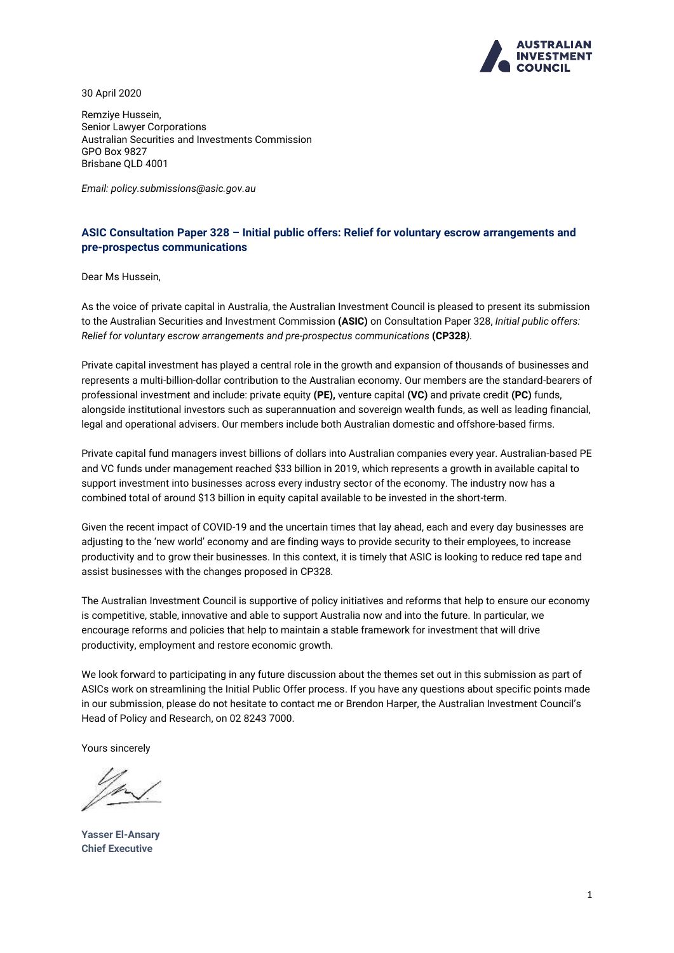

30 April 2020

Remziye Hussein, Senior Lawyer Corporations Australian Securities and Investments Commission GPO Box 9827 Brisbane QLD 4001

*Email: policy.submissions@asic.gov.au*

# **ASIC Consultation Paper 328 – Initial public offers: Relief for voluntary escrow arrangements and pre-prospectus communications**

Dear Ms Hussein,

As the voice of private capital in Australia, the Australian Investment Council is pleased to present its submission to the Australian Securities and Investment Commission **(ASIC)** on Consultation Paper 328, *Initial public offers: Relief for voluntary escrow arrangements and pre-prospectus communications* **(CP328***).*

Private capital investment has played a central role in the growth and expansion of thousands of businesses and represents a multi-billion-dollar contribution to the Australian economy. Our members are the standard-bearers of professional investment and include: private equity **(PE),** venture capital **(VC)** and private credit **(PC)** funds, alongside institutional investors such as superannuation and sovereign wealth funds, as well as leading financial, legal and operational advisers. Our members include both Australian domestic and offshore-based firms.

Private capital fund managers invest billions of dollars into Australian companies every year. Australian-based PE and VC funds under management reached \$33 billion in 2019, which represents a growth in available capital to support investment into businesses across every industry sector of the economy. The industry now has a combined total of around \$13 billion in equity capital available to be invested in the short-term.

Given the recent impact of COVID-19 and the uncertain times that lay ahead, each and every day businesses are adjusting to the 'new world' economy and are finding ways to provide security to their employees, to increase productivity and to grow their businesses. In this context, it is timely that ASIC is looking to reduce red tape and assist businesses with the changes proposed in CP328.

The Australian Investment Council is supportive of policy initiatives and reforms that help to ensure our economy is competitive, stable, innovative and able to support Australia now and into the future. In particular, we encourage reforms and policies that help to maintain a stable framework for investment that will drive productivity, employment and restore economic growth.

We look forward to participating in any future discussion about the themes set out in this submission as part of ASICs work on streamlining the Initial Public Offer process. If you have any questions about specific points made in our submission, please do not hesitate to contact me or Brendon Harper, the Australian Investment Council's Head of Policy and Research, on 02 8243 7000.

Yours sincerely

**Yasser El-Ansary Chief Executive**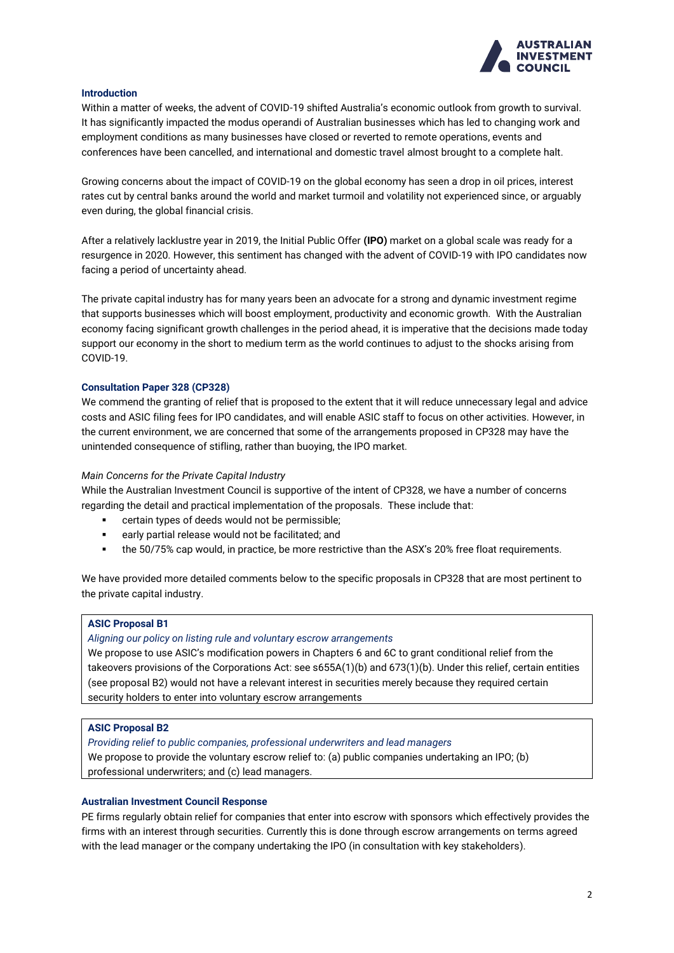

## **Introduction**

Within a matter of weeks, the advent of COVID-19 shifted Australia's economic outlook from growth to survival. It has significantly impacted the modus operandi of Australian businesses which has led to changing work and employment conditions as many businesses have closed or reverted to remote operations, events and conferences have been cancelled, and international and domestic travel almost brought to a complete halt.

Growing concerns about the impact of COVID-19 on the global economy has seen a drop in oil prices, interest rates cut by central banks around the world and market turmoil and volatility not experienced since, or arguably even during, the global financial crisis.

After a relatively lacklustre year in 2019, the Initial Public Offer **(IPO)** market on a global scale was ready for a resurgence in 2020. However, this sentiment has changed with the advent of COVID-19 with IPO candidates now facing a period of uncertainty ahead.

The private capital industry has for many years been an advocate for a strong and dynamic investment regime that supports businesses which will boost employment, productivity and economic growth. With the Australian economy facing significant growth challenges in the period ahead, it is imperative that the decisions made today support our economy in the short to medium term as the world continues to adjust to the shocks arising from COVID-19.

## **Consultation Paper 328 (CP328)**

We commend the granting of relief that is proposed to the extent that it will reduce unnecessary legal and advice costs and ASIC filing fees for IPO candidates, and will enable ASIC staff to focus on other activities. However, in the current environment, we are concerned that some of the arrangements proposed in CP328 may have the unintended consequence of stifling, rather than buoying, the IPO market.

## *Main Concerns for the Private Capital Industry*

While the Australian Investment Council is supportive of the intent of CP328, we have a number of concerns regarding the detail and practical implementation of the proposals. These include that:

- certain types of deeds would not be permissible;
- early partial release would not be facilitated; and
- the 50/75% cap would, in practice, be more restrictive than the ASX's 20% free float requirements.

We have provided more detailed comments below to the specific proposals in CP328 that are most pertinent to the private capital industry.

## **ASIC Proposal B1**

### *Aligning our policy on listing rule and voluntary escrow arrangements*

We propose to use ASIC's modification powers in Chapters 6 and 6C to grant conditional relief from the takeovers provisions of the Corporations Act: see s655A(1)(b) and 673(1)(b). Under this relief, certain entities (see proposal B2) would not have a relevant interest in securities merely because they required certain security holders to enter into voluntary escrow arrangements

# **ASIC Proposal B2**

*Providing relief to public companies, professional underwriters and lead managers*

We propose to provide the voluntary escrow relief to: (a) public companies undertaking an IPO; (b) professional underwriters; and (c) lead managers.

# **Australian Investment Council Response**

PE firms regularly obtain relief for companies that enter into escrow with sponsors which effectively provides the firms with an interest through securities. Currently this is done through escrow arrangements on terms agreed with the lead manager or the company undertaking the IPO (in consultation with key stakeholders).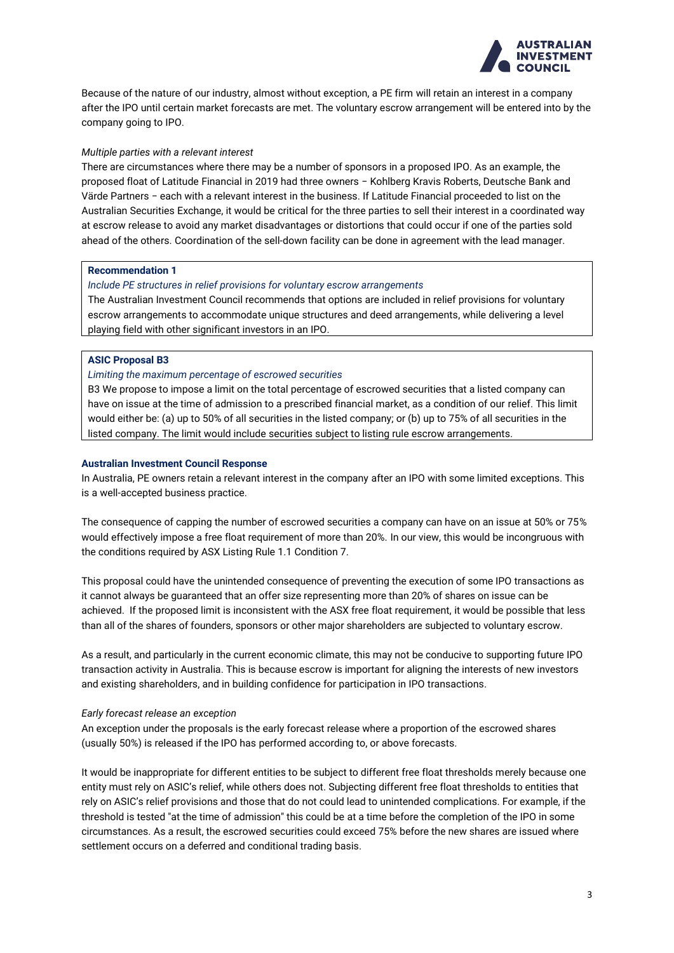

Because of the nature of our industry, almost without exception, a PE firm will retain an interest in a company after the IPO until certain market forecasts are met. The voluntary escrow arrangement will be entered into by the company going to IPO.

## *Multiple parties with a relevant interest*

There are circumstances where there may be a number of sponsors in a proposed IPO. As an example, the proposed float of Latitude Financial in 2019 had three owners − Kohlberg Kravis Roberts, Deutsche Bank and Värde Partners − each with a relevant interest in the business. If Latitude Financial proceeded to list on the Australian Securities Exchange, it would be critical for the three parties to sell their interest in a coordinated way at escrow release to avoid any market disadvantages or distortions that could occur if one of the parties sold ahead of the others. Coordination of the sell-down facility can be done in agreement with the lead manager.

# **Recommendation 1**

### *Include PE structures in relief provisions for voluntary escrow arrangements*

The Australian Investment Council recommends that options are included in relief provisions for voluntary escrow arrangements to accommodate unique structures and deed arrangements, while delivering a level playing field with other significant investors in an IPO.

## **ASIC Proposal B3**

## *Limiting the maximum percentage of escrowed securities*

B3 We propose to impose a limit on the total percentage of escrowed securities that a listed company can have on issue at the time of admission to a prescribed financial market, as a condition of our relief. This limit would either be: (a) up to 50% of all securities in the listed company; or (b) up to 75% of all securities in the listed company. The limit would include securities subject to listing rule escrow arrangements.

### **Australian Investment Council Response**

In Australia, PE owners retain a relevant interest in the company after an IPO with some limited exceptions. This is a well-accepted business practice.

The consequence of capping the number of escrowed securities a company can have on an issue at 50% or 75% would effectively impose a free float requirement of more than 20%. In our view, this would be incongruous with the conditions required by ASX Listing Rule 1.1 Condition 7.

This proposal could have the unintended consequence of preventing the execution of some IPO transactions as it cannot always be guaranteed that an offer size representing more than 20% of shares on issue can be achieved. If the proposed limit is inconsistent with the ASX free float requirement, it would be possible that less than all of the shares of founders, sponsors or other major shareholders are subjected to voluntary escrow.

As a result, and particularly in the current economic climate, this may not be conducive to supporting future IPO transaction activity in Australia. This is because escrow is important for aligning the interests of new investors and existing shareholders, and in building confidence for participation in IPO transactions.

### *Early forecast release an exception*

An exception under the proposals is the early forecast release where a proportion of the escrowed shares (usually 50%) is released if the IPO has performed according to, or above forecasts.

It would be inappropriate for different entities to be subject to different free float thresholds merely because one entity must rely on ASIC's relief, while others does not. Subjecting different free float thresholds to entities that rely on ASIC's relief provisions and those that do not could lead to unintended complications. For example, if the threshold is tested "at the time of admission" this could be at a time before the completion of the IPO in some circumstances. As a result, the escrowed securities could exceed 75% before the new shares are issued where settlement occurs on a deferred and conditional trading basis.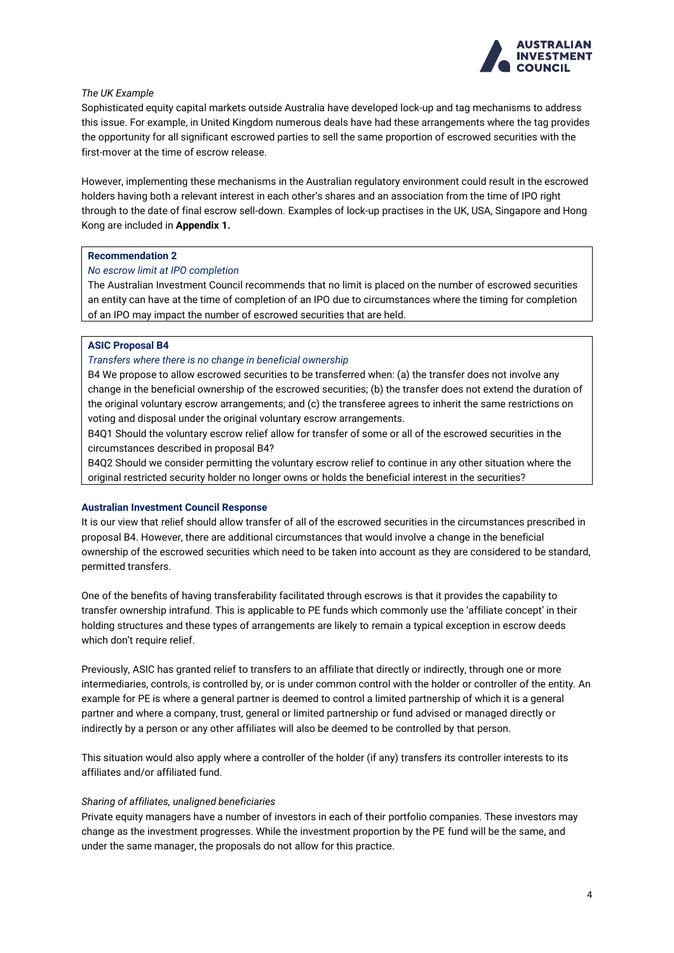

# *The UK Example*

Sophisticated equity capital markets outside Australia have developed lock-up and tag mechanisms to address this issue. For example, in United Kingdom numerous deals have had these arrangements where the tag provides the opportunity for all significant escrowed parties to sell the same proportion of escrowed securities with the first-mover at the time of escrow release.

However, implementing these mechanisms in the Australian regulatory environment could result in the escrowed holders having both a relevant interest in each other's shares and an association from the time of IPO right through to the date of final escrow sell-down. Examples of lock-up practises in the UK, USA, Singapore and Hong Kong are included in **Appendix 1.**

## **Recommendation 2**

## *No escrow limit at IPO completion*

The Australian Investment Council recommends that no limit is placed on the number of escrowed securities an entity can have at the time of completion of an IPO due to circumstances where the timing for completion of an IPO may impact the number of escrowed securities that are held.

## **ASIC Proposal B4**

## *Transfers where there is no change in beneficial ownership*

B4 We propose to allow escrowed securities to be transferred when: (a) the transfer does not involve any change in the beneficial ownership of the escrowed securities; (b) the transfer does not extend the duration of the original voluntary escrow arrangements; and (c) the transferee agrees to inherit the same restrictions on voting and disposal under the original voluntary escrow arrangements.

B4Q1 Should the voluntary escrow relief allow for transfer of some or all of the escrowed securities in the circumstances described in proposal B4?

B4Q2 Should we consider permitting the voluntary escrow relief to continue in any other situation where the original restricted security holder no longer owns or holds the beneficial interest in the securities?

### **Australian Investment Council Response**

It is our view that relief should allow transfer of all of the escrowed securities in the circumstances prescribed in proposal B4. However, there are additional circumstances that would involve a change in the beneficial ownership of the escrowed securities which need to be taken into account as they are considered to be standard, permitted transfers.

One of the benefits of having transferability facilitated through escrows is that it provides the capability to transfer ownership intrafund. This is applicable to PE funds which commonly use the 'affiliate concept' in their holding structures and these types of arrangements are likely to remain a typical exception in escrow deeds which don't require relief.

Previously, ASIC has granted relief to transfers to an affiliate that directly or indirectly, through one or more intermediaries, controls, is controlled by, or is under common control with the holder or controller of the entity. An example for PE is where a general partner is deemed to control a limited partnership of which it is a general partner and where a company, trust, general or limited partnership or fund advised or managed directly or indirectly by a person or any other affiliates will also be deemed to be controlled by that person.

This situation would also apply where a controller of the holder (if any) transfers its controller interests to its affiliates and/or affiliated fund.

### *Sharing of affiliates, unaligned beneficiaries*

Private equity managers have a number of investors in each of their portfolio companies. These investors may change as the investment progresses. While the investment proportion by the PE fund will be the same, and under the same manager, the proposals do not allow for this practice.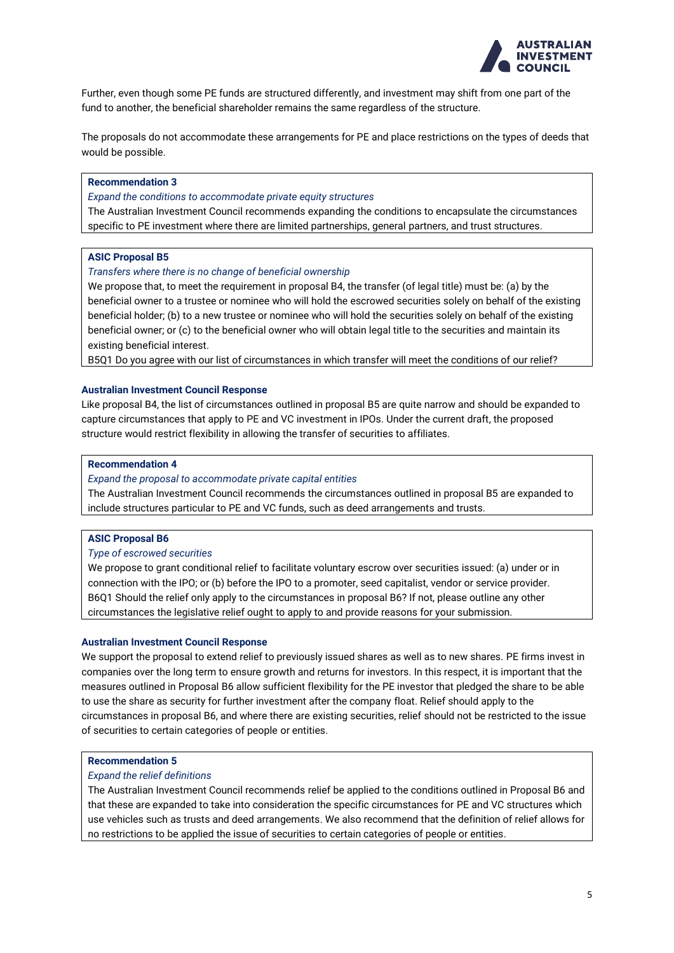

Further, even though some PE funds are structured differently, and investment may shift from one part of the fund to another, the beneficial shareholder remains the same regardless of the structure.

The proposals do not accommodate these arrangements for PE and place restrictions on the types of deeds that would be possible.

## **Recommendation 3**

*Expand the conditions to accommodate private equity structures*

The Australian Investment Council recommends expanding the conditions to encapsulate the circumstances specific to PE investment where there are limited partnerships, general partners, and trust structures.

### **ASIC Proposal B5**

#### *Transfers where there is no change of beneficial ownership*

We propose that, to meet the requirement in proposal B4, the transfer (of legal title) must be: (a) by the beneficial owner to a trustee or nominee who will hold the escrowed securities solely on behalf of the existing beneficial holder; (b) to a new trustee or nominee who will hold the securities solely on behalf of the existing beneficial owner; or (c) to the beneficial owner who will obtain legal title to the securities and maintain its existing beneficial interest.

B5Q1 Do you agree with our list of circumstances in which transfer will meet the conditions of our relief?

### **Australian Investment Council Response**

Like proposal B4, the list of circumstances outlined in proposal B5 are quite narrow and should be expanded to capture circumstances that apply to PE and VC investment in IPOs. Under the current draft, the proposed structure would restrict flexibility in allowing the transfer of securities to affiliates.

## **Recommendation 4**

### *Expand the proposal to accommodate private capital entities*

The Australian Investment Council recommends the circumstances outlined in proposal B5 are expanded to include structures particular to PE and VC funds, such as deed arrangements and trusts.

### **ASIC Proposal B6**

*Type of escrowed securities*

We propose to grant conditional relief to facilitate voluntary escrow over securities issued: (a) under or in connection with the IPO; or (b) before the IPO to a promoter, seed capitalist, vendor or service provider. B6Q1 Should the relief only apply to the circumstances in proposal B6? If not, please outline any other circumstances the legislative relief ought to apply to and provide reasons for your submission.

#### **Australian Investment Council Response**

We support the proposal to extend relief to previously issued shares as well as to new shares. PE firms invest in companies over the long term to ensure growth and returns for investors. In this respect, it is important that the measures outlined in Proposal B6 allow sufficient flexibility for the PE investor that pledged the share to be able to use the share as security for further investment after the company float. Relief should apply to the circumstances in proposal B6, and where there are existing securities, relief should not be restricted to the issue of securities to certain categories of people or entities.

### **Recommendation 5**

#### *Expand the relief definitions*

The Australian Investment Council recommends relief be applied to the conditions outlined in Proposal B6 and that these are expanded to take into consideration the specific circumstances for PE and VC structures which use vehicles such as trusts and deed arrangements. We also recommend that the definition of relief allows for no restrictions to be applied the issue of securities to certain categories of people or entities.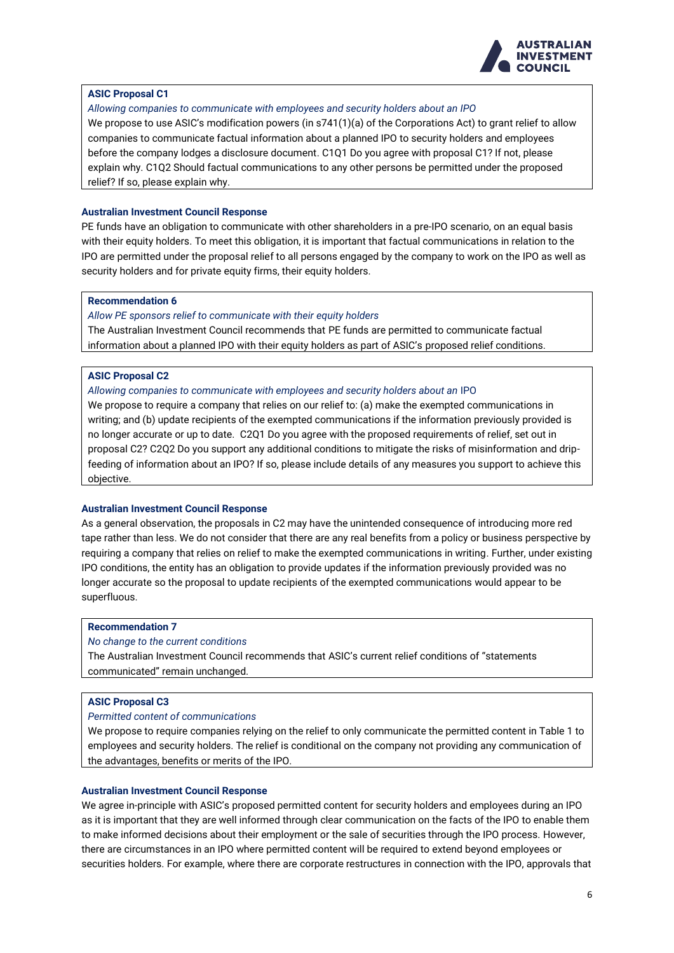

# **ASIC Proposal C1**

*Allowing companies to communicate with employees and security holders about an IPO*

We propose to use ASIC's modification powers (in s741(1)(a) of the Corporations Act) to grant relief to allow companies to communicate factual information about a planned IPO to security holders and employees before the company lodges a disclosure document. C1Q1 Do you agree with proposal C1? If not, please explain why. C1Q2 Should factual communications to any other persons be permitted under the proposed relief? If so, please explain why.

# **Australian Investment Council Response**

PE funds have an obligation to communicate with other shareholders in a pre-IPO scenario, on an equal basis with their equity holders. To meet this obligation, it is important that factual communications in relation to the IPO are permitted under the proposal relief to all persons engaged by the company to work on the IPO as well as security holders and for private equity firms, their equity holders.

## **Recommendation 6**

*Allow PE sponsors relief to communicate with their equity holders*

The Australian Investment Council recommends that PE funds are permitted to communicate factual information about a planned IPO with their equity holders as part of ASIC's proposed relief conditions.

# **ASIC Proposal C2**

### *Allowing companies to communicate with employees and security holders about an* IPO

We propose to require a company that relies on our relief to: (a) make the exempted communications in writing; and (b) update recipients of the exempted communications if the information previously provided is no longer accurate or up to date. C2Q1 Do you agree with the proposed requirements of relief, set out in proposal C2? C2Q2 Do you support any additional conditions to mitigate the risks of misinformation and dripfeeding of information about an IPO? If so, please include details of any measures you support to achieve this objective.

# **Australian Investment Council Response**

As a general observation, the proposals in C2 may have the unintended consequence of introducing more red tape rather than less. We do not consider that there are any real benefits from a policy or business perspective by requiring a company that relies on relief to make the exempted communications in writing. Further, under existing IPO conditions, the entity has an obligation to provide updates if the information previously provided was no longer accurate so the proposal to update recipients of the exempted communications would appear to be superfluous.

## **Recommendation 7**

# *No change to the current conditions*

The Australian Investment Council recommends that ASIC's current relief conditions of "statements communicated" remain unchanged.

# **ASIC Proposal C3**

# *Permitted content of communications*

We propose to require companies relying on the relief to only communicate the permitted content in Table 1 to employees and security holders. The relief is conditional on the company not providing any communication of the advantages, benefits or merits of the IPO.

### **Australian Investment Council Response**

We agree in-principle with ASIC's proposed permitted content for security holders and employees during an IPO as it is important that they are well informed through clear communication on the facts of the IPO to enable them to make informed decisions about their employment or the sale of securities through the IPO process. However, there are circumstances in an IPO where permitted content will be required to extend beyond employees or securities holders. For example, where there are corporate restructures in connection with the IPO, approvals that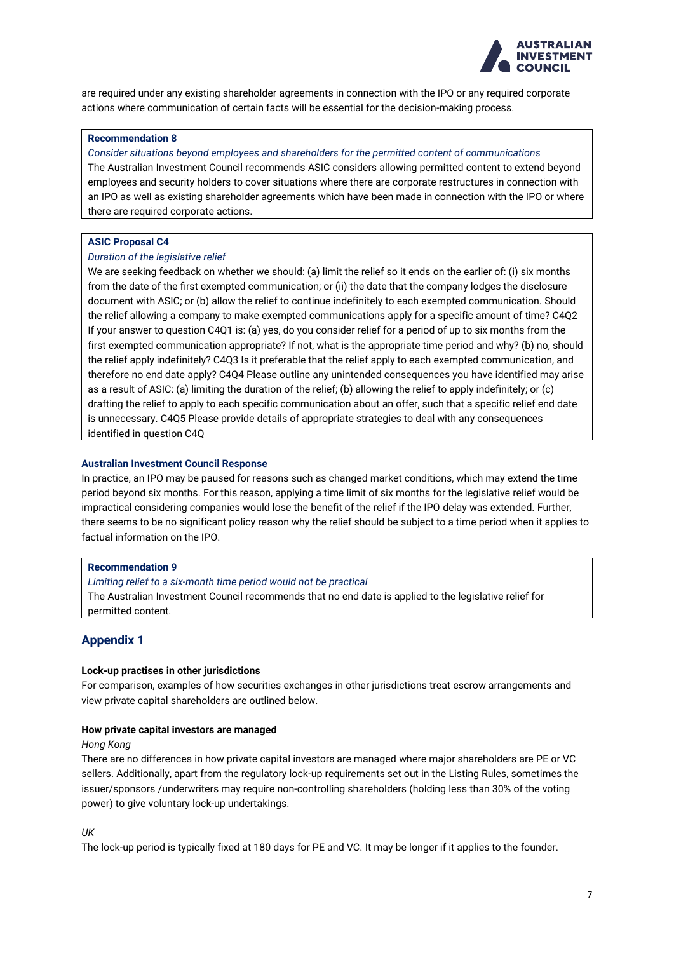

are required under any existing shareholder agreements in connection with the IPO or any required corporate actions where communication of certain facts will be essential for the decision-making process.

## **Recommendation 8**

## *Consider situations beyond employees and shareholders for the permitted content of communications*

The Australian Investment Council recommends ASIC considers allowing permitted content to extend beyond employees and security holders to cover situations where there are corporate restructures in connection with an IPO as well as existing shareholder agreements which have been made in connection with the IPO or where there are required corporate actions.

# **ASIC Proposal C4**

## *Duration of the legislative relief*

We are seeking feedback on whether we should: (a) limit the relief so it ends on the earlier of: (i) six months from the date of the first exempted communication; or (ii) the date that the company lodges the disclosure document with ASIC; or (b) allow the relief to continue indefinitely to each exempted communication. Should the relief allowing a company to make exempted communications apply for a specific amount of time? C4Q2 If your answer to question C4Q1 is: (a) yes, do you consider relief for a period of up to six months from the first exempted communication appropriate? If not, what is the appropriate time period and why? (b) no, should the relief apply indefinitely? C4Q3 Is it preferable that the relief apply to each exempted communication, and therefore no end date apply? C4Q4 Please outline any unintended consequences you have identified may arise as a result of ASIC: (a) limiting the duration of the relief; (b) allowing the relief to apply indefinitely; or (c) drafting the relief to apply to each specific communication about an offer, such that a specific relief end date is unnecessary. C4Q5 Please provide details of appropriate strategies to deal with any consequences identified in question C4Q

## **Australian Investment Council Response**

In practice, an IPO may be paused for reasons such as changed market conditions, which may extend the time period beyond six months. For this reason, applying a time limit of six months for the legislative relief would be impractical considering companies would lose the benefit of the relief if the IPO delay was extended. Further, there seems to be no significant policy reason why the relief should be subject to a time period when it applies to factual information on the IPO.

### **Recommendation 9**

*Limiting relief to a six-month time period would not be practical* The Australian Investment Council recommends that no end date is applied to the legislative relief for permitted content.

# **Appendix 1**

### **Lock-up practises in other jurisdictions**

For comparison, examples of how securities exchanges in other jurisdictions treat escrow arrangements and view private capital shareholders are outlined below.

### **How private capital investors are managed**

### *Hong Kong*

There are no differences in how private capital investors are managed where major shareholders are PE or VC sellers. Additionally, apart from the regulatory lock-up requirements set out in the Listing Rules, sometimes the issuer/sponsors /underwriters may require non-controlling shareholders (holding less than 30% of the voting power) to give voluntary lock-up undertakings.

*UK*

The lock-up period is typically fixed at 180 days for PE and VC. It may be longer if it applies to the founder.